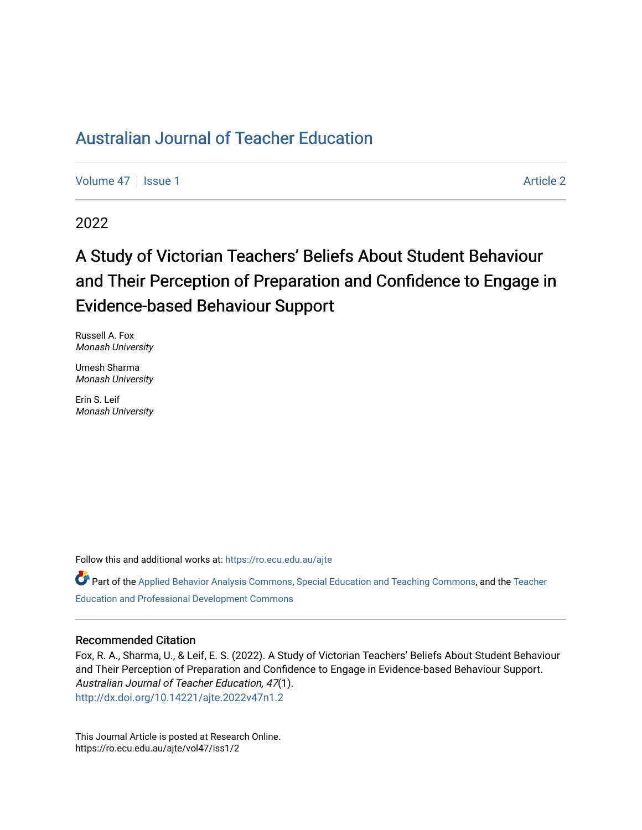# [Australian Journal of Teacher Education](https://ro.ecu.edu.au/ajte)

[Volume 47](https://ro.ecu.edu.au/ajte/vol47) | [Issue 1](https://ro.ecu.edu.au/ajte/vol47/iss1) Article 2

2022

# A Study of Victorian Teachers' Beliefs About Student Behaviour and Their Perception of Preparation and Confidence to Engage in Evidence-based Behaviour Support

Russell A. Fox Monash University

Umesh Sharma Monash University

Erin S. Leif Monash University

Follow this and additional works at: [https://ro.ecu.edu.au/ajte](https://ro.ecu.edu.au/ajte?utm_source=ro.ecu.edu.au%2Fajte%2Fvol47%2Fiss1%2F2&utm_medium=PDF&utm_campaign=PDFCoverPages) 

Part of the [Applied Behavior Analysis Commons,](http://network.bepress.com/hgg/discipline/1235?utm_source=ro.ecu.edu.au%2Fajte%2Fvol47%2Fiss1%2F2&utm_medium=PDF&utm_campaign=PDFCoverPages) [Special Education and Teaching Commons,](http://network.bepress.com/hgg/discipline/801?utm_source=ro.ecu.edu.au%2Fajte%2Fvol47%2Fiss1%2F2&utm_medium=PDF&utm_campaign=PDFCoverPages) and the Teacher [Education and Professional Development Commons](http://network.bepress.com/hgg/discipline/803?utm_source=ro.ecu.edu.au%2Fajte%2Fvol47%2Fiss1%2F2&utm_medium=PDF&utm_campaign=PDFCoverPages) 

#### Recommended Citation

Fox, R. A., Sharma, U., & Leif, E. S. (2022). A Study of Victorian Teachers' Beliefs About Student Behaviour and Their Perception of Preparation and Confidence to Engage in Evidence-based Behaviour Support. Australian Journal of Teacher Education, 47(1). <http://dx.doi.org/10.14221/ajte.2022v47n1.2>

This Journal Article is posted at Research Online. https://ro.ecu.edu.au/ajte/vol47/iss1/2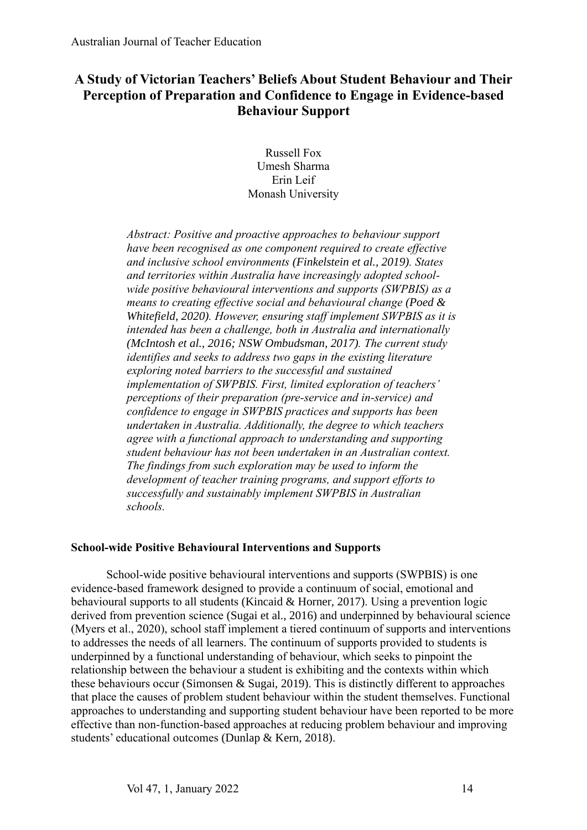## **A Study of Victorian Teachers' Beliefs About Student Behaviour and Their Perception of Preparation and Confidence to Engage in Evidence-based Behaviour Support**

Russell Fox Umesh Sharma Erin Leif Monash University

*Abstract: Positive and proactive approaches to behaviour support have been recognised as one component required to create effective and inclusive school environments (Finkelstein et al., 2019). States and territories within Australia have increasingly adopted schoolwide positive behavioural interventions and supports (SWPBIS) as a means to creating effective social and behavioural change (Poed & Whitefield, 2020). However, ensuring staff implement SWPBIS as it is intended has been a challenge, both in Australia and internationally (McIntosh et al., 2016; NSW Ombudsman, 2017). The current study identifies and seeks to address two gaps in the existing literature exploring noted barriers to the successful and sustained implementation of SWPBIS. First, limited exploration of teachers' perceptions of their preparation (pre-service and in-service) and confidence to engage in SWPBIS practices and supports has been undertaken in Australia. Additionally, the degree to which teachers agree with a functional approach to understanding and supporting student behaviour has not been undertaken in an Australian context. The findings from such exploration may be used to inform the development of teacher training programs, and support efforts to successfully and sustainably implement SWPBIS in Australian schools.*

## **School-wide Positive Behavioural Interventions and Supports**

School-wide positive behavioural interventions and supports (SWPBIS) is one evidence-based framework designed to provide a continuum of social, emotional and behavioural supports to all students (Kincaid & Horner, 2017). Using a prevention logic derived from prevention science (Sugai et al., 2016) and underpinned by behavioural science (Myers et al., 2020), school staff implement a tiered continuum of supports and interventions to addresses the needs of all learners. The continuum of supports provided to students is underpinned by a functional understanding of behaviour, which seeks to pinpoint the relationship between the behaviour a student is exhibiting and the contexts within which these behaviours occur (Simonsen & Sugai, 2019). This is distinctly different to approaches that place the causes of problem student behaviour within the student themselves. Functional approaches to understanding and supporting student behaviour have been reported to be more effective than non-function-based approaches at reducing problem behaviour and improving students' educational outcomes (Dunlap & Kern, 2018).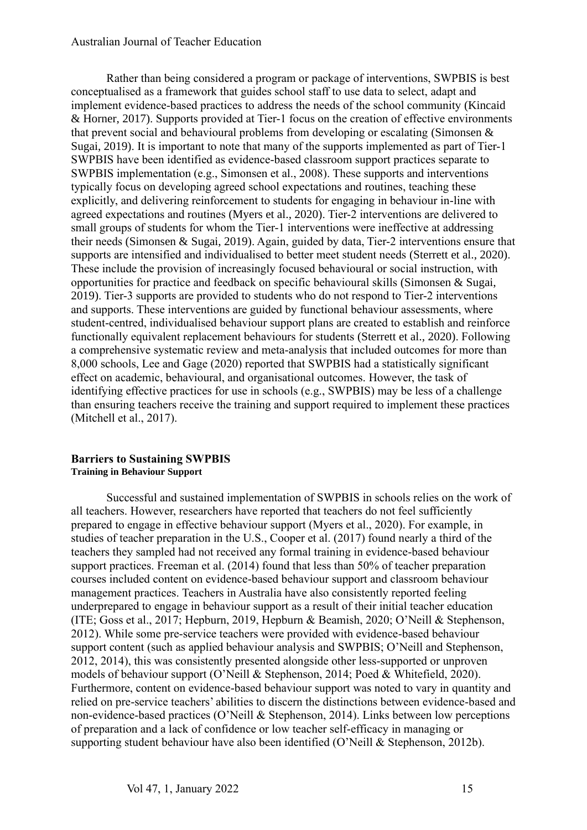#### Australian Journal of Teacher Education

Rather than being considered a program or package of interventions, SWPBIS is best conceptualised as a framework that guides school staff to use data to select, adapt and implement evidence-based practices to address the needs of the school community (Kincaid & Horner, 2017). Supports provided at Tier-1 focus on the creation of effective environments that prevent social and behavioural problems from developing or escalating (Simonsen & Sugai, 2019). It is important to note that many of the supports implemented as part of Tier-1 SWPBIS have been identified as evidence-based classroom support practices separate to SWPBIS implementation (e.g., Simonsen et al., 2008). These supports and interventions typically focus on developing agreed school expectations and routines, teaching these explicitly, and delivering reinforcement to students for engaging in behaviour in-line with agreed expectations and routines (Myers et al., 2020). Tier-2 interventions are delivered to small groups of students for whom the Tier-1 interventions were ineffective at addressing their needs (Simonsen & Sugai, 2019). Again, guided by data, Tier-2 interventions ensure that supports are intensified and individualised to better meet student needs (Sterrett et al., 2020). These include the provision of increasingly focused behavioural or social instruction, with opportunities for practice and feedback on specific behavioural skills (Simonsen & Sugai, 2019). Tier-3 supports are provided to students who do not respond to Tier-2 interventions and supports. These interventions are guided by functional behaviour assessments, where student-centred, individualised behaviour support plans are created to establish and reinforce functionally equivalent replacement behaviours for students (Sterrett et al., 2020). Following a comprehensive systematic review and meta-analysis that included outcomes for more than 8,000 schools, Lee and Gage (2020) reported that SWPBIS had a statistically significant effect on academic, behavioural, and organisational outcomes. However, the task of identifying effective practices for use in schools (e.g., SWPBIS) may be less of a challenge than ensuring teachers receive the training and support required to implement these practices (Mitchell et al., 2017).

#### **Barriers to Sustaining SWPBIS Training in Behaviour Support**

Successful and sustained implementation of SWPBIS in schools relies on the work of all teachers. However, researchers have reported that teachers do not feel sufficiently prepared to engage in effective behaviour support (Myers et al., 2020). For example, in studies of teacher preparation in the U.S., Cooper et al. (2017) found nearly a third of the teachers they sampled had not received any formal training in evidence-based behaviour support practices. Freeman et al. (2014) found that less than 50% of teacher preparation courses included content on evidence-based behaviour support and classroom behaviour management practices. Teachers in Australia have also consistently reported feeling underprepared to engage in behaviour support as a result of their initial teacher education (ITE; Goss et al., 2017; Hepburn, 2019, Hepburn & Beamish, 2020; O'Neill & Stephenson, 2012). While some pre-service teachers were provided with evidence-based behaviour support content (such as applied behaviour analysis and SWPBIS; O'Neill and Stephenson, 2012, 2014), this was consistently presented alongside other less-supported or unproven models of behaviour support (O'Neill & Stephenson, 2014; Poed & Whitefield, 2020). Furthermore, content on evidence-based behaviour support was noted to vary in quantity and relied on pre-service teachers' abilities to discern the distinctions between evidence-based and non-evidence-based practices (O'Neill & Stephenson, 2014). Links between low perceptions of preparation and a lack of confidence or low teacher self-efficacy in managing or supporting student behaviour have also been identified (O'Neill & Stephenson, 2012b).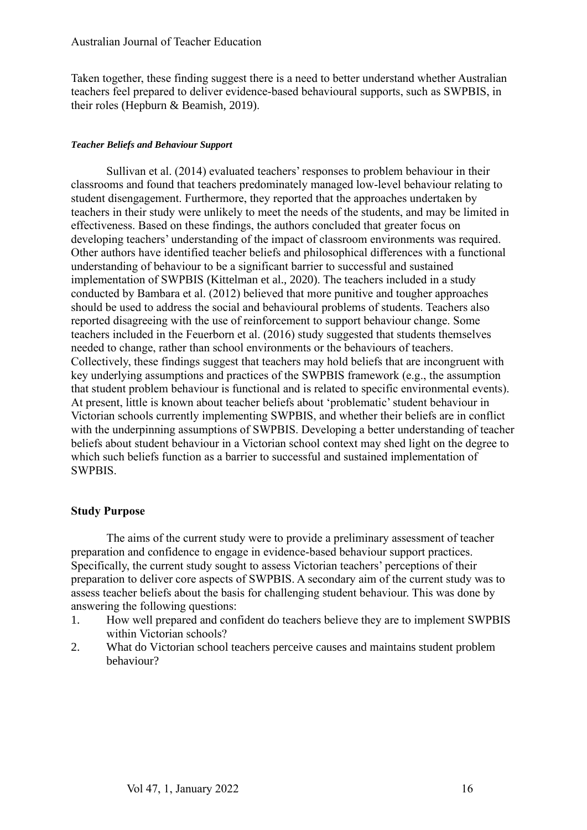Taken together, these finding suggest there is a need to better understand whether Australian teachers feel prepared to deliver evidence-based behavioural supports, such as SWPBIS, in their roles (Hepburn & Beamish, 2019).

## *Teacher Beliefs and Behaviour Support*

Sullivan et al. (2014) evaluated teachers' responses to problem behaviour in their classrooms and found that teachers predominately managed low-level behaviour relating to student disengagement. Furthermore, they reported that the approaches undertaken by teachers in their study were unlikely to meet the needs of the students, and may be limited in effectiveness. Based on these findings, the authors concluded that greater focus on developing teachers' understanding of the impact of classroom environments was required. Other authors have identified teacher beliefs and philosophical differences with a functional understanding of behaviour to be a significant barrier to successful and sustained implementation of SWPBIS (Kittelman et al., 2020). The teachers included in a study conducted by Bambara et al. (2012) believed that more punitive and tougher approaches should be used to address the social and behavioural problems of students. Teachers also reported disagreeing with the use of reinforcement to support behaviour change. Some teachers included in the Feuerborn et al. (2016) study suggested that students themselves needed to change, rather than school environments or the behaviours of teachers. Collectively, these findings suggest that teachers may hold beliefs that are incongruent with key underlying assumptions and practices of the SWPBIS framework (e.g., the assumption that student problem behaviour is functional and is related to specific environmental events). At present, little is known about teacher beliefs about 'problematic' student behaviour in Victorian schools currently implementing SWPBIS, and whether their beliefs are in conflict with the underpinning assumptions of SWPBIS. Developing a better understanding of teacher beliefs about student behaviour in a Victorian school context may shed light on the degree to which such beliefs function as a barrier to successful and sustained implementation of SWPBIS.

## **Study Purpose**

The aims of the current study were to provide a preliminary assessment of teacher preparation and confidence to engage in evidence-based behaviour support practices. Specifically, the current study sought to assess Victorian teachers' perceptions of their preparation to deliver core aspects of SWPBIS. A secondary aim of the current study was to assess teacher beliefs about the basis for challenging student behaviour. This was done by answering the following questions:

- 1. How well prepared and confident do teachers believe they are to implement SWPBIS within Victorian schools?
- 2. What do Victorian school teachers perceive causes and maintains student problem behaviour?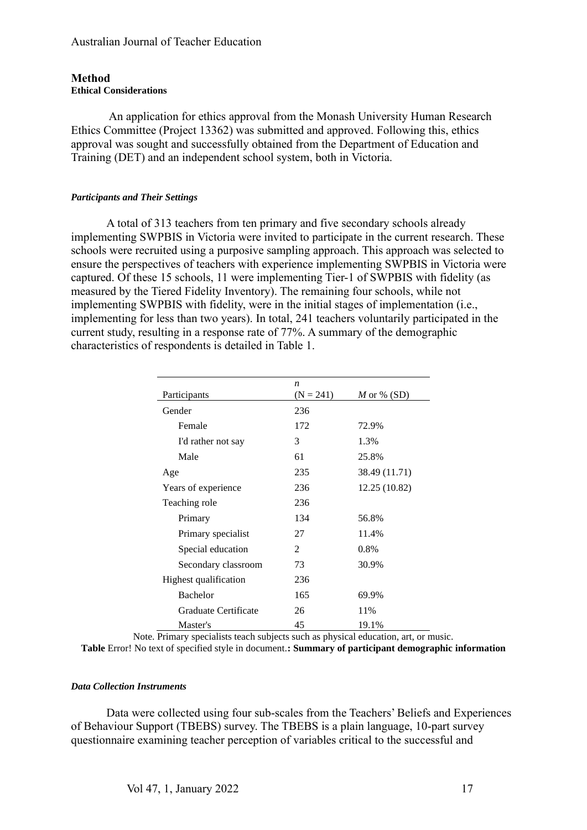## **Method Ethical Considerations**

An application for ethics approval from the Monash University Human Research Ethics Committee (Project 13362) was submitted and approved. Following this, ethics approval was sought and successfully obtained from the Department of Education and Training (DET) and an independent school system, both in Victoria.

#### *Participants and Their Settings*

A total of 313 teachers from ten primary and five secondary schools already implementing SWPBIS in Victoria were invited to participate in the current research. These schools were recruited using a purposive sampling approach. This approach was selected to ensure the perspectives of teachers with experience implementing SWPBIS in Victoria were captured. Of these 15 schools, 11 were implementing Tier-1 of SWPBIS with fidelity (as measured by the Tiered Fidelity Inventory). The remaining four schools, while not implementing SWPBIS with fidelity, were in the initial stages of implementation (i.e., implementing for less than two years). In total, 241 teachers voluntarily participated in the current study, resulting in a response rate of 77%. A summary of the demographic characteristics of respondents is detailed in Table 1.

|                       | n           |               |
|-----------------------|-------------|---------------|
| Participants          | $(N = 241)$ | M or % $(SD)$ |
| Gender                | 236         |               |
| Female                | 172         | 72.9%         |
| I'd rather not say    | 3           | 1.3%          |
| Male                  | 61          | 25.8%         |
| Age                   | 235         | 38.49 (11.71) |
| Years of experience   | 236         | 12.25 (10.82) |
| Teaching role         | 236         |               |
| Primary               | 134         | 56.8%         |
| Primary specialist    | 27          | 11.4%         |
| Special education     | 2           | 0.8%          |
| Secondary classroom   | 73          | 30.9%         |
| Highest qualification | 236         |               |
| <b>Bachelor</b>       | 165         | 69.9%         |
| Graduate Certificate  | 26          | 11%           |
| Master's              | 45          | 19.1%         |

Note. Primary specialists teach subjects such as physical education, art, or music.

**Table** Error! No text of specified style in document.**: Summary of participant demographic information**

#### *Data Collection Instruments*

Data were collected using four sub-scales from the Teachers' Beliefs and Experiences of Behaviour Support (TBEBS) survey. The TBEBS is a plain language, 10-part survey questionnaire examining teacher perception of variables critical to the successful and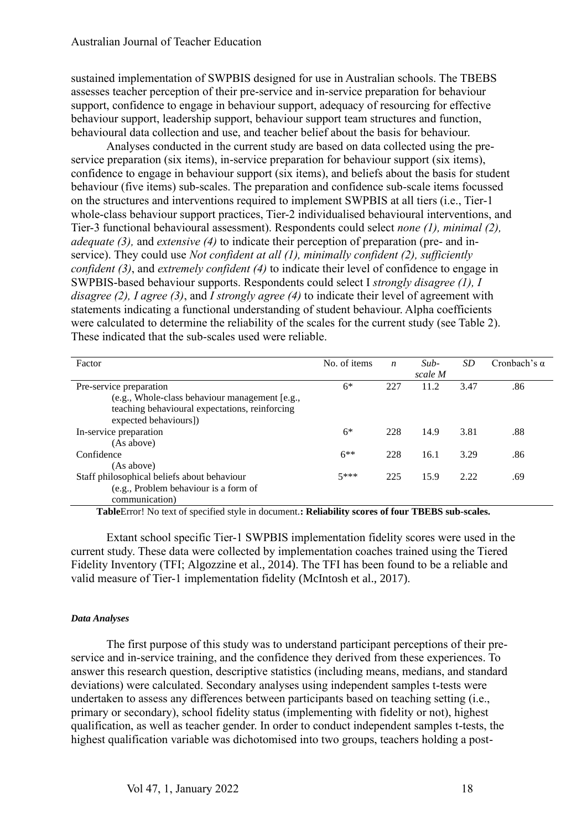sustained implementation of SWPBIS designed for use in Australian schools. The TBEBS assesses teacher perception of their pre-service and in-service preparation for behaviour support, confidence to engage in behaviour support, adequacy of resourcing for effective behaviour support, leadership support, behaviour support team structures and function, behavioural data collection and use, and teacher belief about the basis for behaviour.

Analyses conducted in the current study are based on data collected using the preservice preparation (six items), in-service preparation for behaviour support (six items), confidence to engage in behaviour support (six items), and beliefs about the basis for student behaviour (five items) sub-scales. The preparation and confidence sub-scale items focussed on the structures and interventions required to implement SWPBIS at all tiers (i.e., Tier-1 whole-class behaviour support practices, Tier-2 individualised behavioural interventions, and Tier-3 functional behavioural assessment). Respondents could select *none (1), minimal (2), adequate (3),* and *extensive (4)* to indicate their perception of preparation (pre- and inservice). They could use *Not confident at all (1), minimally confident (2), sufficiently confident (3)*, and *extremely confident (4)* to indicate their level of confidence to engage in SWPBIS-based behaviour supports. Respondents could select I *strongly disagree (1), I disagree (2), I agree (3)*, and *I strongly agree (4)* to indicate their level of agreement with statements indicating a functional understanding of student behaviour. Alpha coefficients were calculated to determine the reliability of the scales for the current study (see Table 2). These indicated that the sub-scales used were reliable.

| Factor                                         | No. of items | $\boldsymbol{n}$ | $Sub-$<br>scale M | SD   | Cronbach's $\alpha$ |
|------------------------------------------------|--------------|------------------|-------------------|------|---------------------|
| Pre-service preparation                        | $6*$         | 227              | 11.2              | 3.47 | .86                 |
| (e.g., Whole-class behaviour management [e.g., |              |                  |                   |      |                     |
| teaching behavioural expectations, reinforcing |              |                  |                   |      |                     |
| expected behaviours])                          |              |                  |                   |      |                     |
| In-service preparation                         | $6*$         | 228              | 14.9              | 3.81 | .88                 |
| (As above)                                     |              |                  |                   |      |                     |
| Confidence                                     | $6**$        | 228              | 16.1              | 3.29 | .86                 |
| (As above)                                     |              |                  |                   |      |                     |
| Staff philosophical beliefs about behaviour    | $5***$       | 225              | 15.9              | 2.22 | .69                 |
| (e.g., Problem behaviour is a form of          |              |                  |                   |      |                     |
| communication)                                 |              |                  |                   |      |                     |

**Table**Error! No text of specified style in document.**: Reliability scores of four TBEBS sub-scales.**

Extant school specific Tier-1 SWPBIS implementation fidelity scores were used in the current study. These data were collected by implementation coaches trained using the Tiered Fidelity Inventory (TFI; Algozzine et al., 2014). The TFI has been found to be a reliable and valid measure of Tier-1 implementation fidelity (McIntosh et al., 2017).

#### *Data Analyses*

The first purpose of this study was to understand participant perceptions of their preservice and in-service training, and the confidence they derived from these experiences. To answer this research question, descriptive statistics (including means, medians, and standard deviations) were calculated. Secondary analyses using independent samples t-tests were undertaken to assess any differences between participants based on teaching setting (i.e., primary or secondary), school fidelity status (implementing with fidelity or not), highest qualification, as well as teacher gender. In order to conduct independent samples t-tests, the highest qualification variable was dichotomised into two groups, teachers holding a post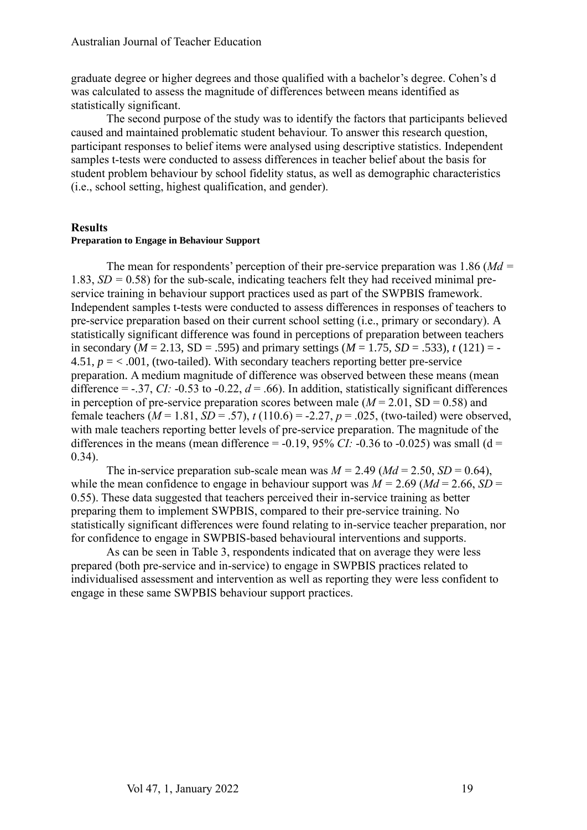graduate degree or higher degrees and those qualified with a bachelor's degree. Cohen's d was calculated to assess the magnitude of differences between means identified as statistically significant.

The second purpose of the study was to identify the factors that participants believed caused and maintained problematic student behaviour. To answer this research question, participant responses to belief items were analysed using descriptive statistics. Independent samples t-tests were conducted to assess differences in teacher belief about the basis for student problem behaviour by school fidelity status, as well as demographic characteristics (i.e., school setting, highest qualification, and gender).

#### **Results**

#### **Preparation to Engage in Behaviour Support**

The mean for respondents' perception of their pre-service preparation was 1.86 (*Md =*  1.83, *SD =* 0.58) for the sub-scale, indicating teachers felt they had received minimal preservice training in behaviour support practices used as part of the SWPBIS framework. Independent samples t-tests were conducted to assess differences in responses of teachers to pre-service preparation based on their current school setting (i.e., primary or secondary). A statistically significant difference was found in perceptions of preparation between teachers in secondary ( $M = 2.13$ , SD = .595) and primary settings ( $M = 1.75$ , SD = .533),  $t(121) = -$ 4.51,  $p = < 0.001$ , (two-tailed). With secondary teachers reporting better pre-service preparation. A medium magnitude of difference was observed between these means (mean difference =  $-37$ , *CI:*  $-0.53$  to  $-0.22$ ,  $d = .66$ ). In addition, statistically significant differences in perception of pre-service preparation scores between male  $(M = 2.01, SD = 0.58)$  and female teachers  $(M = 1.81, SD = .57)$ ,  $t(110.6) = -2.27$ ,  $p = .025$ , (two-tailed) were observed, with male teachers reporting better levels of pre-service preparation. The magnitude of the differences in the means (mean difference =  $-0.19$ , 95% *CI*:  $-0.36$  to  $-0.025$ ) was small (d = 0.34).

The in-service preparation sub-scale mean was  $M = 2.49$  ( $Md = 2.50$ ,  $SD = 0.64$ ), while the mean confidence to engage in behaviour support was  $M = 2.69$  ( $Md = 2.66$ ,  $SD =$ 0.55). These data suggested that teachers perceived their in-service training as better preparing them to implement SWPBIS, compared to their pre-service training. No statistically significant differences were found relating to in-service teacher preparation, nor for confidence to engage in SWPBIS-based behavioural interventions and supports.

As can be seen in Table 3, respondents indicated that on average they were less prepared (both pre-service and in-service) to engage in SWPBIS practices related to individualised assessment and intervention as well as reporting they were less confident to engage in these same SWPBIS behaviour support practices.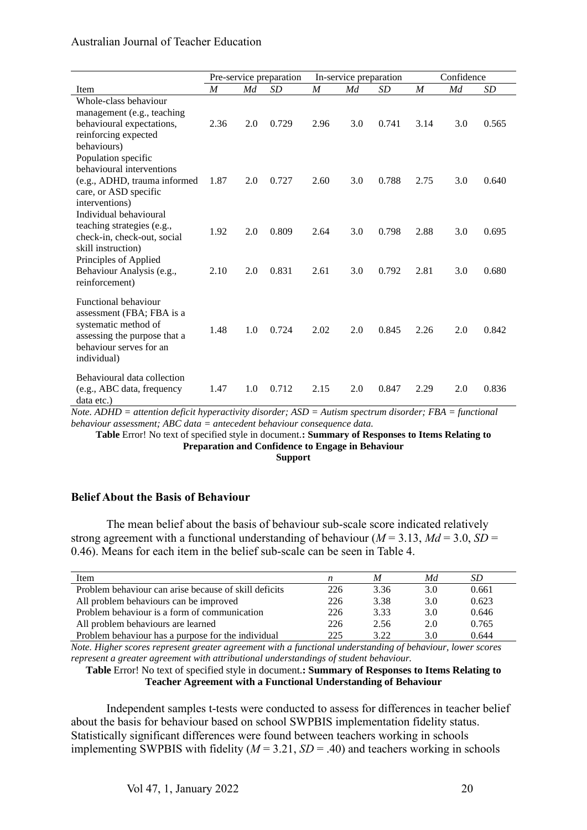## Australian Journal of Teacher Education

|                                                                                                                                                     | Pre-service preparation |     | In-service preparation |                  |     | Confidence |                  |     |           |
|-----------------------------------------------------------------------------------------------------------------------------------------------------|-------------------------|-----|------------------------|------------------|-----|------------|------------------|-----|-----------|
| Item                                                                                                                                                | $\boldsymbol{M}$        | Md  | <b>SD</b>              | $\boldsymbol{M}$ | Мd  | <b>SD</b>  | $\boldsymbol{M}$ | Md  | <b>SD</b> |
| Whole-class behaviour<br>management (e.g., teaching<br>behavioural expectations,<br>reinforcing expected<br>behaviours)                             | 2.36                    | 2.0 | 0.729                  | 2.96             | 3.0 | 0.741      | 3.14             | 3.0 | 0.565     |
| Population specific<br>behavioural interventions<br>(e.g., ADHD, trauma informed<br>care, or ASD specific<br>interventions)                         | 1.87                    | 2.0 | 0.727                  | 2.60             | 3.0 | 0.788      | 2.75             | 3.0 | 0.640     |
| Individual behavioural<br>teaching strategies (e.g.,<br>check-in, check-out, social<br>skill instruction)<br>Principles of Applied                  | 1.92                    | 2.0 | 0.809                  | 2.64             | 3.0 | 0.798      | 2.88             | 3.0 | 0.695     |
| Behaviour Analysis (e.g.,<br>reinforcement)                                                                                                         | 2.10                    | 2.0 | 0.831                  | 2.61             | 3.0 | 0.792      | 2.81             | 3.0 | 0.680     |
| Functional behaviour<br>assessment (FBA; FBA is a<br>systematic method of<br>assessing the purpose that a<br>behaviour serves for an<br>individual) | 1.48                    | 1.0 | 0.724                  | 2.02             | 2.0 | 0.845      | 2.26             | 2.0 | 0.842     |
| Behavioural data collection<br>(e.g., ABC data, frequency<br>data etc.)                                                                             | 1.47                    | 1.0 | 0.712                  | 2.15             | 2.0 | 0.847      | 2.29             | 2.0 | 0.836     |

*Note. ADHD = attention deficit hyperactivity disorder; ASD = Autism spectrum disorder; FBA = functional behaviour assessment; ABC data = antecedent behaviour consequence data.*

**Table** Error! No text of specified style in document.**: Summary of Responses to Items Relating to Preparation and Confidence to Engage in Behaviour Support**

## **Belief About the Basis of Behaviour**

The mean belief about the basis of behaviour sub-scale score indicated relatively strong agreement with a functional understanding of behaviour ( $M = 3.13$ ,  $Md = 3.0$ ,  $SD =$ 0.46). Means for each item in the belief sub-scale can be seen in Table 4.

| Item                                                  |     | M    | Md  | SD    |
|-------------------------------------------------------|-----|------|-----|-------|
| Problem behaviour can arise because of skill deficits | 226 | 3.36 | 3.0 | 0.661 |
| All problem behaviours can be improved                | 226 | 3.38 | 3.0 | 0.623 |
| Problem behaviour is a form of communication          | 226 | 3.33 | 3.0 | 0.646 |
| All problem behaviours are learned                    | 226 | 2.56 | 2.0 | 0.765 |
| Problem behaviour has a purpose for the individual    | 225 | 3.22 | 3.0 | 0.644 |

*Note. Higher scores represent greater agreement with a functional understanding of behaviour, lower scores represent a greater agreement with attributional understandings of student behaviour.*

#### **Table** Error! No text of specified style in document.**: Summary of Responses to Items Relating to Teacher Agreement with a Functional Understanding of Behaviour**

Independent samples t-tests were conducted to assess for differences in teacher belief about the basis for behaviour based on school SWPBIS implementation fidelity status. Statistically significant differences were found between teachers working in schools implementing SWPBIS with fidelity  $(M = 3.21, SD = .40)$  and teachers working in schools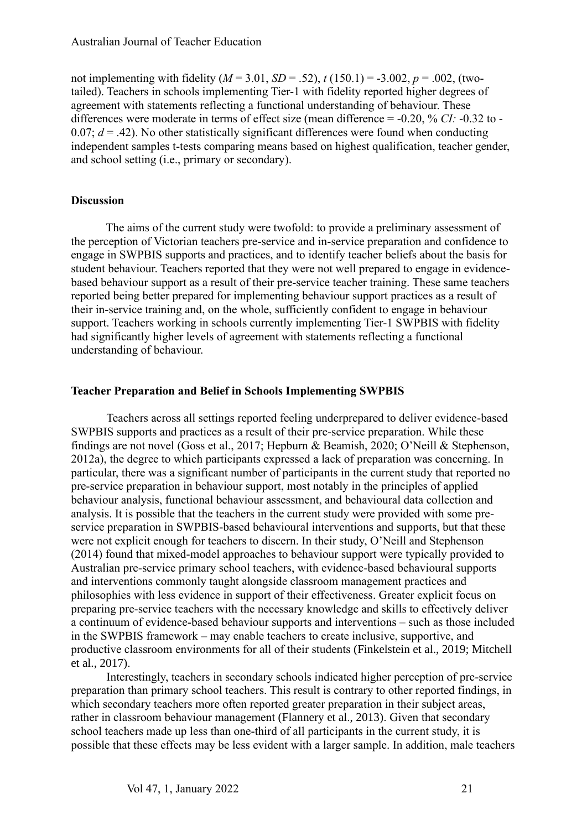not implementing with fidelity ( $M = 3.01$ ,  $SD = .52$ ),  $t(150.1) = -3.002$ ,  $p = .002$ , (twotailed). Teachers in schools implementing Tier-1 with fidelity reported higher degrees of agreement with statements reflecting a functional understanding of behaviour. These differences were moderate in terms of effect size (mean difference = -0.20, % *CI:* -0.32 to - 0.07;  $d = .42$ ). No other statistically significant differences were found when conducting independent samples t-tests comparing means based on highest qualification, teacher gender, and school setting (i.e., primary or secondary).

## **Discussion**

The aims of the current study were twofold: to provide a preliminary assessment of the perception of Victorian teachers pre-service and in-service preparation and confidence to engage in SWPBIS supports and practices, and to identify teacher beliefs about the basis for student behaviour. Teachers reported that they were not well prepared to engage in evidencebased behaviour support as a result of their pre-service teacher training. These same teachers reported being better prepared for implementing behaviour support practices as a result of their in-service training and, on the whole, sufficiently confident to engage in behaviour support. Teachers working in schools currently implementing Tier-1 SWPBIS with fidelity had significantly higher levels of agreement with statements reflecting a functional understanding of behaviour.

#### **Teacher Preparation and Belief in Schools Implementing SWPBIS**

Teachers across all settings reported feeling underprepared to deliver evidence-based SWPBIS supports and practices as a result of their pre-service preparation. While these findings are not novel (Goss et al., 2017; Hepburn & Beamish, 2020; O'Neill & Stephenson, 2012a), the degree to which participants expressed a lack of preparation was concerning. In particular, there was a significant number of participants in the current study that reported no pre-service preparation in behaviour support, most notably in the principles of applied behaviour analysis, functional behaviour assessment, and behavioural data collection and analysis. It is possible that the teachers in the current study were provided with some preservice preparation in SWPBIS-based behavioural interventions and supports, but that these were not explicit enough for teachers to discern. In their study, O'Neill and Stephenson (2014) found that mixed-model approaches to behaviour support were typically provided to Australian pre-service primary school teachers, with evidence-based behavioural supports and interventions commonly taught alongside classroom management practices and philosophies with less evidence in support of their effectiveness. Greater explicit focus on preparing pre-service teachers with the necessary knowledge and skills to effectively deliver a continuum of evidence-based behaviour supports and interventions – such as those included in the SWPBIS framework – may enable teachers to create inclusive, supportive, and productive classroom environments for all of their students (Finkelstein et al., 2019; Mitchell et al., 2017).

Interestingly, teachers in secondary schools indicated higher perception of pre-service preparation than primary school teachers. This result is contrary to other reported findings, in which secondary teachers more often reported greater preparation in their subject areas, rather in classroom behaviour management (Flannery et al., 2013). Given that secondary school teachers made up less than one-third of all participants in the current study, it is possible that these effects may be less evident with a larger sample. In addition, male teachers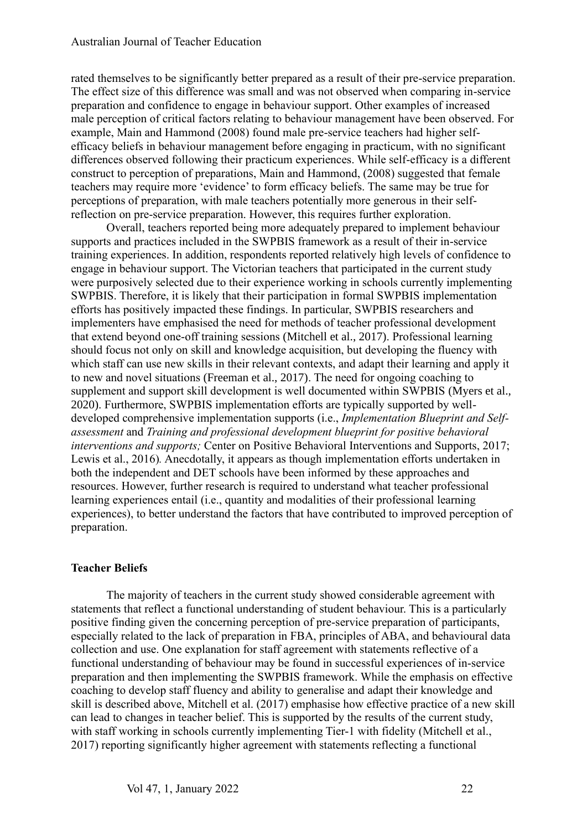rated themselves to be significantly better prepared as a result of their pre-service preparation. The effect size of this difference was small and was not observed when comparing in-service preparation and confidence to engage in behaviour support. Other examples of increased male perception of critical factors relating to behaviour management have been observed. For example, Main and Hammond (2008) found male pre-service teachers had higher selfefficacy beliefs in behaviour management before engaging in practicum, with no significant differences observed following their practicum experiences. While self-efficacy is a different construct to perception of preparations, Main and Hammond, (2008) suggested that female teachers may require more 'evidence' to form efficacy beliefs. The same may be true for perceptions of preparation, with male teachers potentially more generous in their selfreflection on pre-service preparation. However, this requires further exploration.

Overall, teachers reported being more adequately prepared to implement behaviour supports and practices included in the SWPBIS framework as a result of their in-service training experiences. In addition, respondents reported relatively high levels of confidence to engage in behaviour support. The Victorian teachers that participated in the current study were purposively selected due to their experience working in schools currently implementing SWPBIS. Therefore, it is likely that their participation in formal SWPBIS implementation efforts has positively impacted these findings. In particular, SWPBIS researchers and implementers have emphasised the need for methods of teacher professional development that extend beyond one-off training sessions (Mitchell et al., 2017). Professional learning should focus not only on skill and knowledge acquisition, but developing the fluency with which staff can use new skills in their relevant contexts, and adapt their learning and apply it to new and novel situations (Freeman et al., 2017). The need for ongoing coaching to supplement and support skill development is well documented within SWPBIS (Myers et al., 2020). Furthermore, SWPBIS implementation efforts are typically supported by welldeveloped comprehensive implementation supports (i.e., *Implementation Blueprint and Selfassessment* and *Training and professional development blueprint for positive behavioral interventions and supports;* Center on Positive Behavioral Interventions and Supports, 2017; Lewis et al., 2016)*.* Anecdotally, it appears as though implementation efforts undertaken in both the independent and DET schools have been informed by these approaches and resources. However, further research is required to understand what teacher professional learning experiences entail (i.e., quantity and modalities of their professional learning experiences), to better understand the factors that have contributed to improved perception of preparation.

## **Teacher Beliefs**

The majority of teachers in the current study showed considerable agreement with statements that reflect a functional understanding of student behaviour. This is a particularly positive finding given the concerning perception of pre-service preparation of participants, especially related to the lack of preparation in FBA, principles of ABA, and behavioural data collection and use. One explanation for staff agreement with statements reflective of a functional understanding of behaviour may be found in successful experiences of in-service preparation and then implementing the SWPBIS framework. While the emphasis on effective coaching to develop staff fluency and ability to generalise and adapt their knowledge and skill is described above, Mitchell et al. (2017) emphasise how effective practice of a new skill can lead to changes in teacher belief. This is supported by the results of the current study, with staff working in schools currently implementing Tier-1 with fidelity (Mitchell et al., 2017) reporting significantly higher agreement with statements reflecting a functional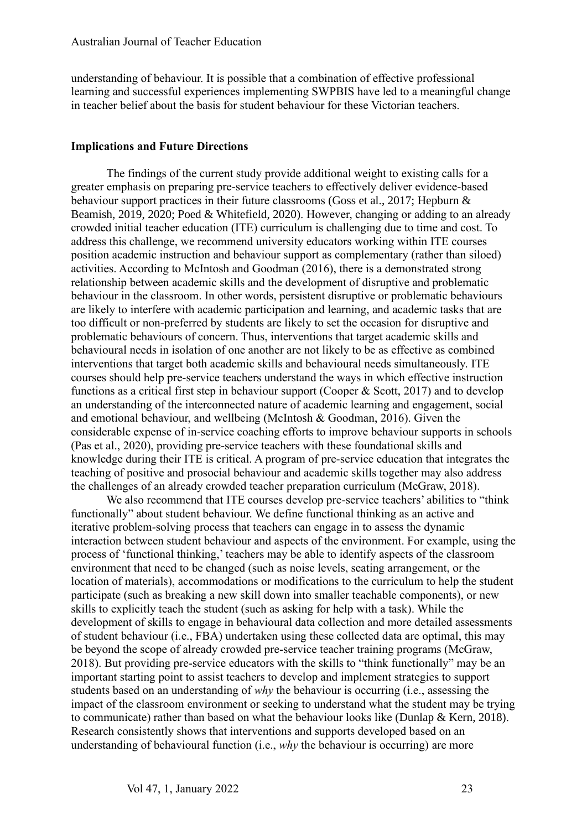understanding of behaviour. It is possible that a combination of effective professional learning and successful experiences implementing SWPBIS have led to a meaningful change in teacher belief about the basis for student behaviour for these Victorian teachers.

#### **Implications and Future Directions**

The findings of the current study provide additional weight to existing calls for a greater emphasis on preparing pre-service teachers to effectively deliver evidence-based behaviour support practices in their future classrooms (Goss et al., 2017; Hepburn & Beamish, 2019, 2020; Poed & Whitefield, 2020). However, changing or adding to an already crowded initial teacher education (ITE) curriculum is challenging due to time and cost. To address this challenge, we recommend university educators working within ITE courses position academic instruction and behaviour support as complementary (rather than siloed) activities. According to McIntosh and Goodman (2016), there is a demonstrated strong relationship between academic skills and the development of disruptive and problematic behaviour in the classroom. In other words, persistent disruptive or problematic behaviours are likely to interfere with academic participation and learning, and academic tasks that are too difficult or non-preferred by students are likely to set the occasion for disruptive and problematic behaviours of concern. Thus, interventions that target academic skills and behavioural needs in isolation of one another are not likely to be as effective as combined interventions that target both academic skills and behavioural needs simultaneously. ITE courses should help pre-service teachers understand the ways in which effective instruction functions as a critical first step in behaviour support (Cooper & Scott, 2017) and to develop an understanding of the interconnected nature of academic learning and engagement, social and emotional behaviour, and wellbeing (McIntosh & Goodman, 2016). Given the considerable expense of in-service coaching efforts to improve behaviour supports in schools (Pas et al., 2020), providing pre-service teachers with these foundational skills and knowledge during their ITE is critical. A program of pre-service education that integrates the teaching of positive and prosocial behaviour and academic skills together may also address the challenges of an already crowded teacher preparation curriculum (McGraw, 2018).

We also recommend that ITE courses develop pre-service teachers' abilities to "think functionally" about student behaviour. We define functional thinking as an active and iterative problem-solving process that teachers can engage in to assess the dynamic interaction between student behaviour and aspects of the environment. For example, using the process of 'functional thinking,' teachers may be able to identify aspects of the classroom environment that need to be changed (such as noise levels, seating arrangement, or the location of materials), accommodations or modifications to the curriculum to help the student participate (such as breaking a new skill down into smaller teachable components), or new skills to explicitly teach the student (such as asking for help with a task). While the development of skills to engage in behavioural data collection and more detailed assessments of student behaviour (i.e., FBA) undertaken using these collected data are optimal, this may be beyond the scope of already crowded pre-service teacher training programs (McGraw, 2018). But providing pre-service educators with the skills to "think functionally" may be an important starting point to assist teachers to develop and implement strategies to support students based on an understanding of *why* the behaviour is occurring (i.e., assessing the impact of the classroom environment or seeking to understand what the student may be trying to communicate) rather than based on what the behaviour looks like (Dunlap & Kern, 2018). Research consistently shows that interventions and supports developed based on an understanding of behavioural function (i.e., *why* the behaviour is occurring) are more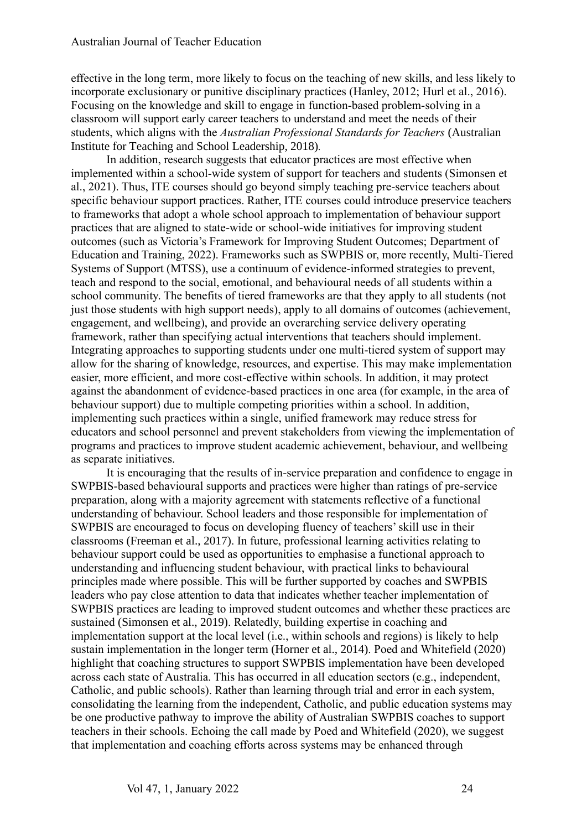effective in the long term, more likely to focus on the teaching of new skills, and less likely to incorporate exclusionary or punitive disciplinary practices (Hanley, 2012; Hurl et al., 2016). Focusing on the knowledge and skill to engage in function-based problem-solving in a classroom will support early career teachers to understand and meet the needs of their students, which aligns with the *Australian Professional Standards for Teachers* (Australian Institute for Teaching and School Leadership, 2018)*.*

In addition, research suggests that educator practices are most effective when implemented within a school-wide system of support for teachers and students (Simonsen et al., 2021). Thus, ITE courses should go beyond simply teaching pre-service teachers about specific behaviour support practices. Rather, ITE courses could introduce preservice teachers to frameworks that adopt a whole school approach to implementation of behaviour support practices that are aligned to state-wide or school-wide initiatives for improving student outcomes (such as Victoria's Framework for Improving Student Outcomes; Department of Education and Training, 2022). Frameworks such as SWPBIS or, more recently, Multi-Tiered Systems of Support (MTSS), use a continuum of evidence-informed strategies to prevent, teach and respond to the social, emotional, and behavioural needs of all students within a school community. The benefits of tiered frameworks are that they apply to all students (not just those students with high support needs), apply to all domains of outcomes (achievement, engagement, and wellbeing), and provide an overarching service delivery operating framework, rather than specifying actual interventions that teachers should implement. Integrating approaches to supporting students under one multi-tiered system of support may allow for the sharing of knowledge, resources, and expertise. This may make implementation easier, more efficient, and more cost-effective within schools. In addition, it may protect against the abandonment of evidence-based practices in one area (for example, in the area of behaviour support) due to multiple competing priorities within a school. In addition, implementing such practices within a single, unified framework may reduce stress for educators and school personnel and prevent stakeholders from viewing the implementation of programs and practices to improve student academic achievement, behaviour, and wellbeing as separate initiatives.

It is encouraging that the results of in-service preparation and confidence to engage in SWPBIS-based behavioural supports and practices were higher than ratings of pre-service preparation, along with a majority agreement with statements reflective of a functional understanding of behaviour. School leaders and those responsible for implementation of SWPBIS are encouraged to focus on developing fluency of teachers' skill use in their classrooms (Freeman et al., 2017). In future, professional learning activities relating to behaviour support could be used as opportunities to emphasise a functional approach to understanding and influencing student behaviour, with practical links to behavioural principles made where possible. This will be further supported by coaches and SWPBIS leaders who pay close attention to data that indicates whether teacher implementation of SWPBIS practices are leading to improved student outcomes and whether these practices are sustained (Simonsen et al., 2019). Relatedly, building expertise in coaching and implementation support at the local level (i.e., within schools and regions) is likely to help sustain implementation in the longer term (Horner et al., 2014). Poed and Whitefield (2020) highlight that coaching structures to support SWPBIS implementation have been developed across each state of Australia. This has occurred in all education sectors (e.g., independent, Catholic, and public schools). Rather than learning through trial and error in each system, consolidating the learning from the independent, Catholic, and public education systems may be one productive pathway to improve the ability of Australian SWPBIS coaches to support teachers in their schools. Echoing the call made by Poed and Whitefield (2020), we suggest that implementation and coaching efforts across systems may be enhanced through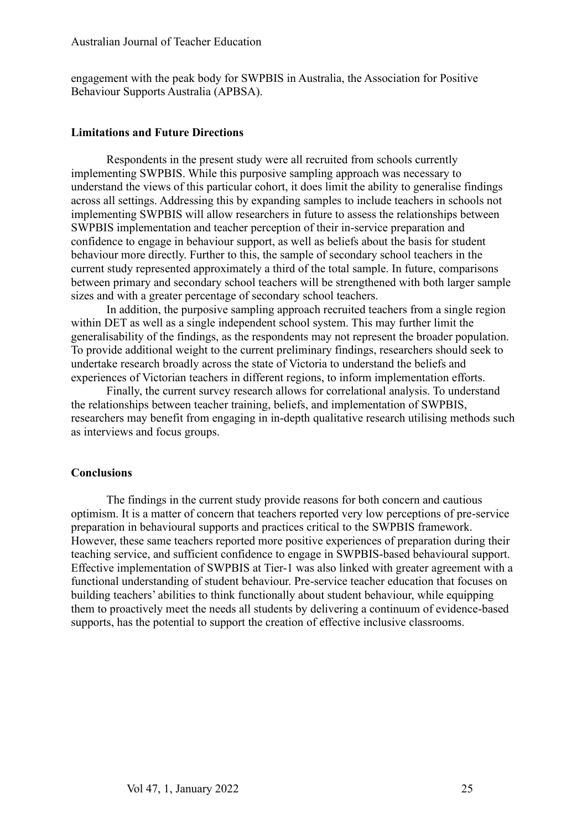engagement with the peak body for SWPBIS in Australia, the Association for Positive Behaviour Supports Australia (APBSA).

#### **Limitations and Future Directions**

Respondents in the present study were all recruited from schools currently implementing SWPBIS. While this purposive sampling approach was necessary to understand the views of this particular cohort, it does limit the ability to generalise findings across all settings. Addressing this by expanding samples to include teachers in schools not implementing SWPBIS will allow researchers in future to assess the relationships between SWPBIS implementation and teacher perception of their in-service preparation and confidence to engage in behaviour support, as well as beliefs about the basis for student behaviour more directly. Further to this, the sample of secondary school teachers in the current study represented approximately a third of the total sample. In future, comparisons between primary and secondary school teachers will be strengthened with both larger sample sizes and with a greater percentage of secondary school teachers.

In addition, the purposive sampling approach recruited teachers from a single region within DET as well as a single independent school system. This may further limit the generalisability of the findings, as the respondents may not represent the broader population. To provide additional weight to the current preliminary findings, researchers should seek to undertake research broadly across the state of Victoria to understand the beliefs and experiences of Victorian teachers in different regions, to inform implementation efforts.

Finally, the current survey research allows for correlational analysis. To understand the relationships between teacher training, beliefs, and implementation of SWPBIS, researchers may benefit from engaging in in-depth qualitative research utilising methods such as interviews and focus groups.

#### **Conclusions**

The findings in the current study provide reasons for both concern and cautious optimism. It is a matter of concern that teachers reported very low perceptions of pre-service preparation in behavioural supports and practices critical to the SWPBIS framework. However, these same teachers reported more positive experiences of preparation during their teaching service, and sufficient confidence to engage in SWPBIS-based behavioural support. Effective implementation of SWPBIS at Tier-1 was also linked with greater agreement with a functional understanding of student behaviour. Pre-service teacher education that focuses on building teachers' abilities to think functionally about student behaviour, while equipping them to proactively meet the needs all students by delivering a continuum of evidence-based supports, has the potential to support the creation of effective inclusive classrooms.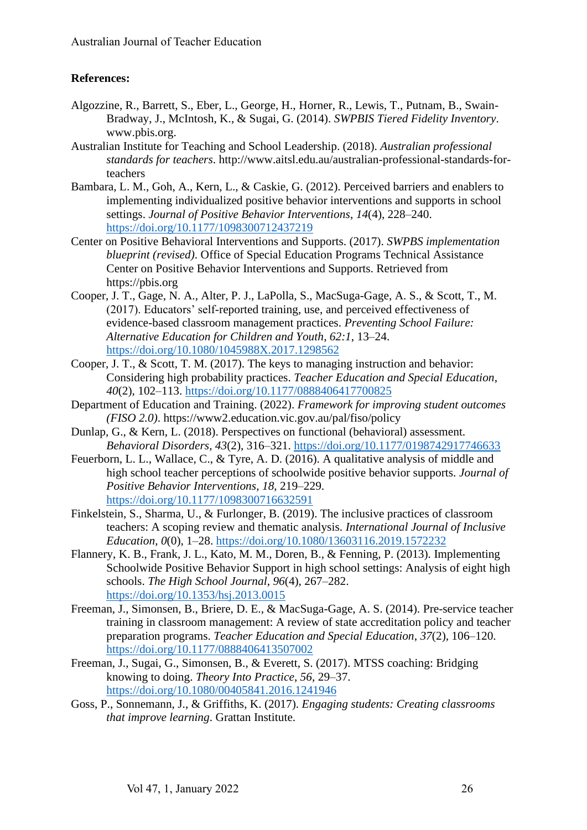## **References:**

- Algozzine, R., Barrett, S., Eber, L., George, H., Horner, R., Lewis, T., Putnam, B., Swain-Bradway, J., McIntosh, K., & Sugai, G. (2014). *SWPBIS Tiered Fidelity Inventory*. www.pbis.org.
- Australian Institute for Teaching and School Leadership. (2018). *Australian professional standards for teachers*. http://www.aitsl.edu.au/australian-professional-standards-forteachers
- Bambara, L. M., Goh, A., Kern, L., & Caskie, G. (2012). Perceived barriers and enablers to implementing individualized positive behavior interventions and supports in school settings. *Journal of Positive Behavior Interventions*, *14*(4), 228–240. <https://doi.org/10.1177/1098300712437219>
- Center on Positive Behavioral Interventions and Supports. (2017). *SWPBS implementation blueprint (revised)*. Office of Special Education Programs Technical Assistance Center on Positive Behavior Interventions and Supports. Retrieved from https://pbis.org
- Cooper, J. T., Gage, N. A., Alter, P. J., LaPolla, S., MacSuga-Gage, A. S., & Scott, T., M. (2017). Educators' self-reported training, use, and perceived effectiveness of evidence-based classroom management practices. *Preventing School Failure: Alternative Education for Children and Youth*, *62:1*, 13–24. <https://doi.org/10.1080/1045988X.2017.1298562>
- Cooper, J. T., & Scott, T. M. (2017). The keys to managing instruction and behavior: Considering high probability practices. *Teacher Education and Special Education*, *40*(2), 102–113.<https://doi.org/10.1177/0888406417700825>
- Department of Education and Training. (2022). *Framework for improving student outcomes (FISO 2.0)*. https://www2.education.vic.gov.au/pal/fiso/policy
- Dunlap, G., & Kern, L. (2018). Perspectives on functional (behavioral) assessment. *Behavioral Disorders*, *43*(2), 316–321.<https://doi.org/10.1177/0198742917746633>
- Feuerborn, L. L., Wallace, C., & Tyre, A. D. (2016). A qualitative analysis of middle and high school teacher perceptions of schoolwide positive behavior supports. *Journal of Positive Behavior Interventions*, *18*, 219–229. <https://doi.org/10.1177/1098300716632591>
- Finkelstein, S., Sharma, U., & Furlonger, B. (2019). The inclusive practices of classroom teachers: A scoping review and thematic analysis. *International Journal of Inclusive Education*, *0*(0), 1–28.<https://doi.org/10.1080/13603116.2019.1572232>
- Flannery, K. B., Frank, J. L., Kato, M. M., Doren, B., & Fenning, P. (2013). Implementing Schoolwide Positive Behavior Support in high school settings: Analysis of eight high schools. *The High School Journal*, *96*(4), 267–282. <https://doi.org/10.1353/hsj.2013.0015>
- Freeman, J., Simonsen, B., Briere, D. E., & MacSuga-Gage, A. S. (2014). Pre-service teacher training in classroom management: A review of state accreditation policy and teacher preparation programs. *Teacher Education and Special Education*, *37*(2), 106–120. <https://doi.org/10.1177/0888406413507002>
- Freeman, J., Sugai, G., Simonsen, B., & Everett, S. (2017). MTSS coaching: Bridging knowing to doing. *Theory Into Practice*, *56*, 29–37. <https://doi.org/10.1080/00405841.2016.1241946>
- Goss, P., Sonnemann, J., & Griffiths, K. (2017). *Engaging students: Creating classrooms that improve learning*. Grattan Institute.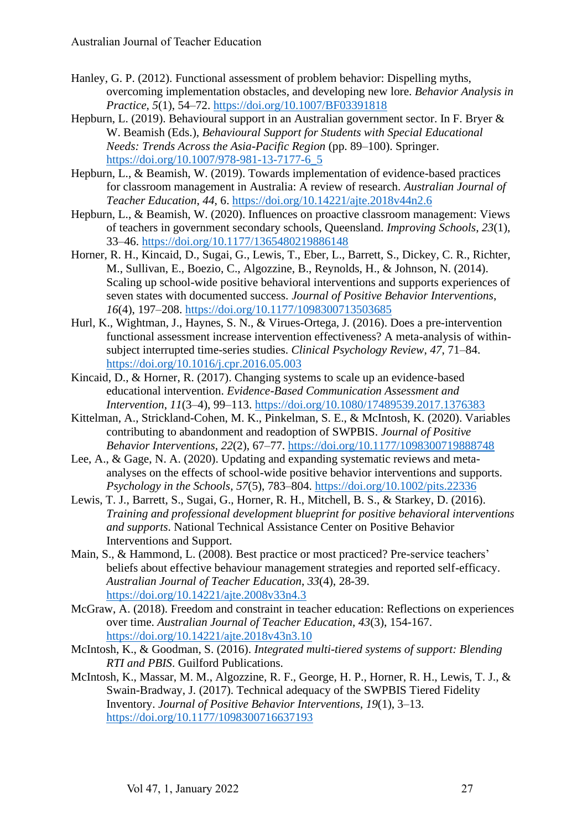- Hanley, G. P. (2012). Functional assessment of problem behavior: Dispelling myths, overcoming implementation obstacles, and developing new lore. *Behavior Analysis in Practice*, *5*(1), 54–72. <https://doi.org/10.1007/BF03391818>
- Hepburn, L. (2019). Behavioural support in an Australian government sector. In F. Bryer & W. Beamish (Eds.), *Behavioural Support for Students with Special Educational Needs: Trends Across the Asia-Pacific Region* (pp. 89–100). Springer. [https://doi.org/10.1007/978-981-13-7177-6\\_5](https://doi.org/10.1007/978-981-13-7177-6_5)
- Hepburn, L., & Beamish, W. (2019). Towards implementation of evidence-based practices for classroom management in Australia: A review of research. *Australian Journal of Teacher Education*, *44*, 6.<https://doi.org/10.14221/ajte.2018v44n2.6>
- Hepburn, L., & Beamish, W. (2020). Influences on proactive classroom management: Views of teachers in government secondary schools, Queensland. *Improving Schools*, *23*(1), 33–46.<https://doi.org/10.1177/1365480219886148>
- Horner, R. H., Kincaid, D., Sugai, G., Lewis, T., Eber, L., Barrett, S., Dickey, C. R., Richter, M., Sullivan, E., Boezio, C., Algozzine, B., Reynolds, H., & Johnson, N. (2014). Scaling up school-wide positive behavioral interventions and supports experiences of seven states with documented success. *Journal of Positive Behavior Interventions*, *16*(4), 197–208.<https://doi.org/10.1177/1098300713503685>
- Hurl, K., Wightman, J., Haynes, S. N., & Virues-Ortega, J. (2016). Does a pre-intervention functional assessment increase intervention effectiveness? A meta-analysis of withinsubject interrupted time-series studies. *Clinical Psychology Review*, *47*, 71–84. <https://doi.org/10.1016/j.cpr.2016.05.003>
- Kincaid, D., & Horner, R. (2017). Changing systems to scale up an evidence-based educational intervention. *Evidence-Based Communication Assessment and Intervention*, *11*(3–4), 99–113.<https://doi.org/10.1080/17489539.2017.1376383>
- Kittelman, A., Strickland-Cohen, M. K., Pinkelman, S. E., & McIntosh, K. (2020). Variables contributing to abandonment and readoption of SWPBIS. *Journal of Positive Behavior Interventions*, *22*(2), 67–77.<https://doi.org/10.1177/1098300719888748>
- Lee, A., & Gage, N. A. (2020). Updating and expanding systematic reviews and metaanalyses on the effects of school-wide positive behavior interventions and supports. *Psychology in the Schools*, *57*(5), 783–804.<https://doi.org/10.1002/pits.22336>
- Lewis, T. J., Barrett, S., Sugai, G., Horner, R. H., Mitchell, B. S., & Starkey, D. (2016). *Training and professional development blueprint for positive behavioral interventions and supports*. National Technical Assistance Center on Positive Behavior Interventions and Support.
- Main, S., & Hammond, L. (2008). Best practice or most practiced? Pre-service teachers' beliefs about effective behaviour management strategies and reported self-efficacy. *Australian Journal of Teacher Education*, *33*(4), 28-39. <https://doi.org/10.14221/ajte.2008v33n4.3>
- McGraw, A. (2018). Freedom and constraint in teacher education: Reflections on experiences over time. *Australian Journal of Teacher Education*, *43*(3), 154-167. <https://doi.org/10.14221/ajte.2018v43n3.10>
- McIntosh, K., & Goodman, S. (2016). *Integrated multi-tiered systems of support: Blending RTI and PBIS*. Guilford Publications.
- McIntosh, K., Massar, M. M., Algozzine, R. F., George, H. P., Horner, R. H., Lewis, T. J., & Swain-Bradway, J. (2017). Technical adequacy of the SWPBIS Tiered Fidelity Inventory. *Journal of Positive Behavior Interventions*, *19*(1), 3–13. <https://doi.org/10.1177/1098300716637193>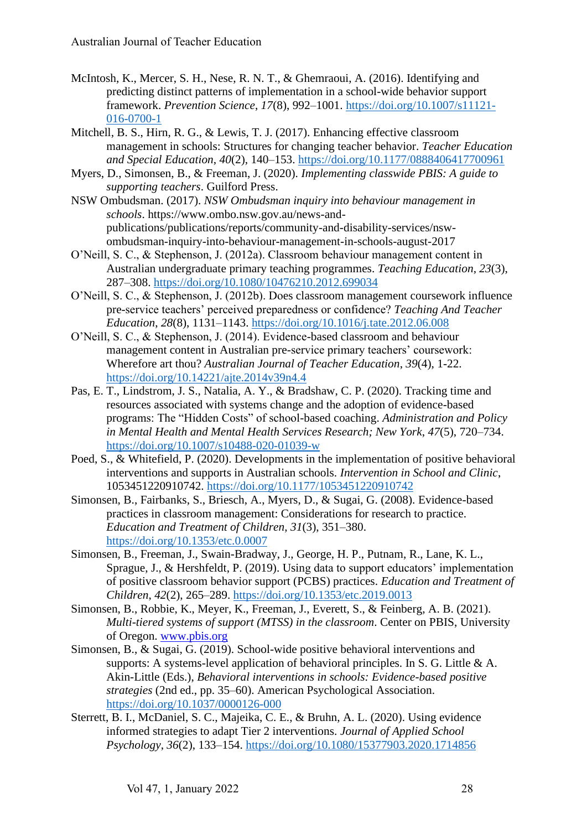- McIntosh, K., Mercer, S. H., Nese, R. N. T., & Ghemraoui, A. (2016). Identifying and predicting distinct patterns of implementation in a school-wide behavior support framework. *Prevention Science*, *17*(8), 992–1001. [https://doi.org/10.1007/s11121-](https://doi.org/10.1007/s11121-016-0700-1) [016-0700-1](https://doi.org/10.1007/s11121-016-0700-1)
- Mitchell, B. S., Hirn, R. G., & Lewis, T. J. (2017). Enhancing effective classroom management in schools: Structures for changing teacher behavior. *Teacher Education and Special Education*, *40*(2), 140–153.<https://doi.org/10.1177/0888406417700961>
- Myers, D., Simonsen, B., & Freeman, J. (2020). *Implementing classwide PBIS: A guide to supporting teachers*. Guilford Press.
- NSW Ombudsman. (2017). *NSW Ombudsman inquiry into behaviour management in schools*. https://www.ombo.nsw.gov.au/news-andpublications/publications/reports/community-and-disability-services/nswombudsman-inquiry-into-behaviour-management-in-schools-august-2017
- O'Neill, S. C., & Stephenson, J. (2012a). Classroom behaviour management content in Australian undergraduate primary teaching programmes. *Teaching Education*, *23*(3), 287–308.<https://doi.org/10.1080/10476210.2012.699034>
- O'Neill, S. C., & Stephenson, J. (2012b). Does classroom management coursework influence pre-service teachers' perceived preparedness or confidence? *Teaching And Teacher Education*, *28*(8), 1131–1143. <https://doi.org/10.1016/j.tate.2012.06.008>
- O'Neill, S. C., & Stephenson, J. (2014). Evidence-based classroom and behaviour management content in Australian pre-service primary teachers' coursework: Wherefore art thou? *Australian Journal of Teacher Education*, *39*(4), 1-22. <https://doi.org/10.14221/ajte.2014v39n4.4>
- Pas, E. T., Lindstrom, J. S., Natalia, A. Y., & Bradshaw, C. P. (2020). Tracking time and resources associated with systems change and the adoption of evidence-based programs: The "Hidden Costs" of school-based coaching. *Administration and Policy in Mental Health and Mental Health Services Research; New York*, *47*(5), 720–734. <https://doi.org/10.1007/s10488-020-01039-w>
- Poed, S., & Whitefield, P. (2020). Developments in the implementation of positive behavioral interventions and supports in Australian schools. *Intervention in School and Clinic*, 1053451220910742.<https://doi.org/10.1177/1053451220910742>
- Simonsen, B., Fairbanks, S., Briesch, A., Myers, D., & Sugai, G. (2008). Evidence-based practices in classroom management: Considerations for research to practice. *Education and Treatment of Children*, *31*(3), 351–380. <https://doi.org/10.1353/etc.0.0007>
- Simonsen, B., Freeman, J., Swain-Bradway, J., George, H. P., Putnam, R., Lane, K. L., Sprague, J., & Hershfeldt, P. (2019). Using data to support educators' implementation of positive classroom behavior support (PCBS) practices. *Education and Treatment of Children*, *42*(2), 265–289.<https://doi.org/10.1353/etc.2019.0013>
- Simonsen, B., Robbie, K., Meyer, K., Freeman, J., Everett, S., & Feinberg, A. B. (2021). *Multi-tiered systems of support (MTSS) in the classroom*. Center on PBIS, University of Oregon. [www.pbis.org](https://doi.org/www.pbis.org)
- Simonsen, B., & Sugai, G. (2019). School-wide positive behavioral interventions and supports: A systems-level application of behavioral principles. In S. G. Little & A. Akin-Little (Eds.), *Behavioral interventions in schools: Evidence-based positive strategies* (2nd ed., pp. 35–60). American Psychological Association. <https://doi.org/10.1037/0000126-000>
- Sterrett, B. I., McDaniel, S. C., Majeika, C. E., & Bruhn, A. L. (2020). Using evidence informed strategies to adapt Tier 2 interventions. *Journal of Applied School Psychology*, *36*(2), 133–154.<https://doi.org/10.1080/15377903.2020.1714856>